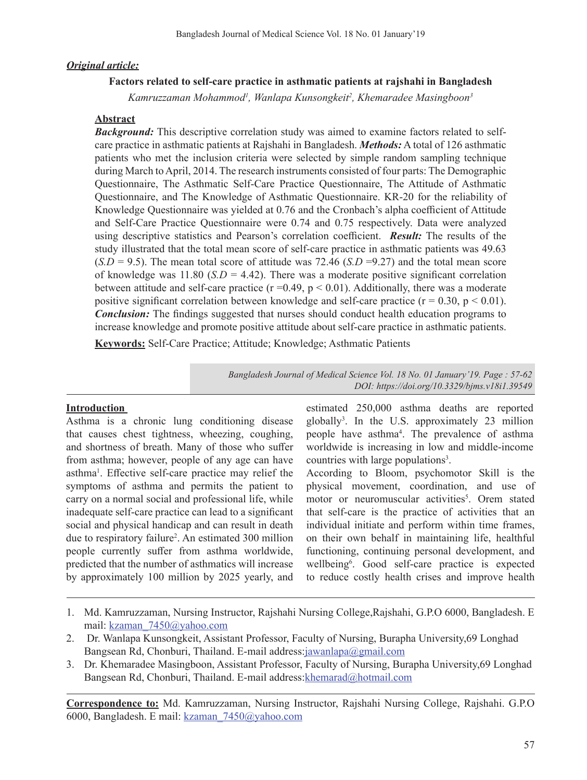### *Original article:*

### **Factors related to self-care practice in asthmatic patients at rajshahi in Bangladesh**

*Kamruzzaman Mohammod1 , Wanlapa Kunsongkeit2 , Khemaradee Masingboon3*

#### **Abstract**

*Background:* This descriptive correlation study was aimed to examine factors related to selfcare practice in asthmatic patients at Rajshahi in Bangladesh. *Methods:* A total of 126 asthmatic patients who met the inclusion criteria were selected by simple random sampling technique during March toApril, 2014. The research instruments consisted of four parts: The Demographic Questionnaire, The Asthmatic Self-Care Practice Questionnaire, The Attitude of Asthmatic Questionnaire, and The Knowledge of Asthmatic Questionnaire. KR-20 for the reliability of Knowledge Questionnaire was yielded at 0.76 and the Cronbach's alpha coefficient of Attitude and Self-Care Practice Questionnaire were 0.74 and 0.75 respectively. Data were analyzed using descriptive statistics and Pearson's correlation coefficient. *Result:* The results of the study illustrated that the total mean score of self-care practice in asthmatic patients was 49.63  $(S.D = 9.5)$ . The mean total score of attitude was 72.46  $(S.D = 9.27)$  and the total mean score of knowledge was  $11.80$  ( $SD = 4.42$ ). There was a moderate positive significant correlation between attitude and self-care practice ( $r = 0.49$ ,  $p < 0.01$ ). Additionally, there was a moderate positive significant correlation between knowledge and self-care practice ( $r = 0.30$ ,  $p < 0.01$ ). *Conclusion:* The findings suggested that nurses should conduct health education programs to increase knowledge and promote positive attitude about self-care practice in asthmatic patients.

**Keywords:** Self-Care Practice; Attitude; Knowledge; Asthmatic Patients

*Bangladesh Journal of Medical Science Vol. 18 No. 01 January'19. Page : 57-62 DOI: https://doi.org/10.3329/bjms.v18i1.39549*

#### **Introduction**

Asthma is a chronic lung conditioning disease that causes chest tightness, wheezing, coughing, and shortness of breath. Many of those who suffer from asthma; however, people of any age can have asthma<sup>1</sup>. Effective self-care practice may relief the symptoms of asthma and permits the patient to carry on a normal social and professional life, while inadequate self-care practice can lead to a significant social and physical handicap and can result in death due to respiratory failure<sup>2</sup>. An estimated 300 million people currently suffer from asthma worldwide, predicted that the number of asthmatics will increase by approximately 100 million by 2025 yearly, and

estimated 250,000 asthma deaths are reported globally<sup>3</sup> . In the U.S. approximately 23 million people have asthma4 . The prevalence of asthma worldwide is increasing in low and middle-income countries with large populations<sup>3</sup>.

According to Bloom, psychomotor Skill is the physical movement, coordination, and use of motor or neuromuscular activities<sup>5</sup>. Orem stated that self-care is the practice of activities that an individual initiate and perform within time frames, on their own behalf in maintaining life, healthful functioning, continuing personal development, and wellbeing<sup>6</sup>. Good self-care practice is expected to reduce costly health crises and improve health

- 1. Md. Kamruzzaman, Nursing Instructor, Rajshahi Nursing College,Rajshahi, G.P.O 6000, Bangladesh. E mail: kzaman\_7450@yahoo.com
- 2. Dr. Wanlapa Kunsongkeit, Assistant Professor, Faculty of Nursing, Burapha University, 69 Longhad Bangsean Rd, Chonburi, Thailand. E-mail address:jawanlapa@gmail.com
- 3. Dr. Khemaradee Masingboon, Assistant Professor, Faculty of Nursing, Burapha University,69 Longhad Bangsean Rd, Chonburi, Thailand. E-mail address: khemarad@hotmail.com

**Correspondence to:** Md. Kamruzzaman, Nursing Instructor, Rajshahi Nursing College, Rajshahi. G.P.O 6000, Bangladesh. E mail: kzaman\_7450@yahoo.com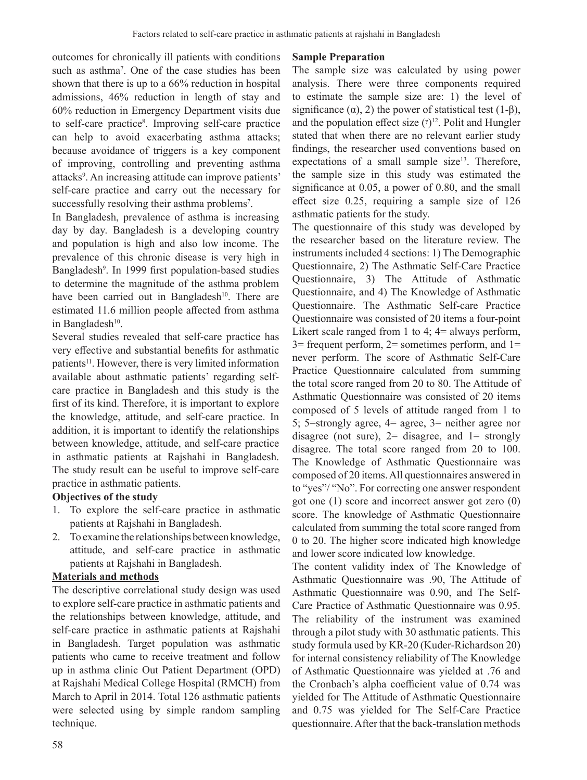outcomes for chronically ill patients with conditions such as asthma7 . One of the case studies has been shown that there is up to a 66% reduction in hospital admissions, 46% reduction in length of stay and 60% reduction in Emergency Department visits due to self-care practice<sup>8</sup>. Improving self-care practice can help to avoid exacerbating asthma attacks; because avoidance of triggers is a key component of improving, controlling and preventing asthma attacks<sup>9</sup>. An increasing attitude can improve patients' self-care practice and carry out the necessary for successfully resolving their asthma problems<sup>7</sup>.

In Bangladesh, prevalence of asthma is increasing day by day. Bangladesh is a developing country and population is high and also low income. The prevalence of this chronic disease is very high in Bangladesh<sup>9</sup>. In 1999 first population-based studies to determine the magnitude of the asthma problem have been carried out in Bangladesh<sup>10</sup>. There are estimated 11.6 million people affected from asthma in Bangladesh $10$ .

Several studies revealed that self-care practice has very effective and substantial benefits for asthmatic patients<sup>11</sup>. However, there is very limited information available about asthmatic patients' regarding selfcare practice in Bangladesh and this study is the first of its kind. Therefore, it is important to explore the knowledge, attitude, and self-care practice. In addition, it is important to identify the relationships between knowledge, attitude, and self-care practice in asthmatic patients at Rajshahi in Bangladesh. The study result can be useful to improve self-care practice in asthmatic patients.

# **Objectives of the study**

- 1. To explore the self-care practice in asthmatic patients at Rajshahi in Bangladesh.
- 2. To examine the relationships between knowledge, attitude, and self-care practice in asthmatic patients at Rajshahi in Bangladesh.

#### **Materials and methods**

The descriptive correlational study design was used to explore self-care practice in asthmatic patients and the relationships between knowledge, attitude, and self-care practice in asthmatic patients at Rajshahi in Bangladesh. Target population was asthmatic patients who came to receive treatment and follow up in asthma clinic Out Patient Department (OPD) at Rajshahi Medical College Hospital (RMCH) from March to April in 2014. Total 126 asthmatic patients were selected using by simple random sampling technique.

#### **Sample Preparation**

The sample size was calculated by using power analysis. There were three components required to estimate the sample size are: 1) the level of significance ( $\alpha$ ), 2) the power of statistical test (1- $\beta$ ), and the population effect size  $(\gamma)^{12}$ . Polit and Hungler stated that when there are no relevant earlier study findings, the researcher used conventions based on expectations of a small sample size<sup>13</sup>. Therefore, the sample size in this study was estimated the significance at 0.05, a power of 0.80, and the small effect size 0.25, requiring a sample size of 126 asthmatic patients for the study.

The questionnaire of this study was developed by the researcher based on the literature review. The instruments included 4 sections: 1) The Demographic Questionnaire, 2) The Asthmatic Self-Care Practice Questionnaire, 3) The Attitude of Asthmatic Questionnaire, and 4) The Knowledge of Asthmatic Questionnaire. The Asthmatic Self-care Practice Questionnaire was consisted of 20 items a four-point Likert scale ranged from 1 to 4; 4= always perform,  $3=$  frequent perform,  $2=$  sometimes perform, and  $1=$ never perform. The score of Asthmatic Self-Care Practice Questionnaire calculated from summing the total score ranged from 20 to 80. The Attitude of Asthmatic Questionnaire was consisted of 20 items composed of 5 levels of attitude ranged from 1 to 5; 5=strongly agree, 4= agree, 3= neither agree nor disagree (not sure),  $2=$  disagree, and  $1=$  strongly disagree. The total score ranged from 20 to 100. The Knowledge of Asthmatic Questionnaire was composed of 20 items.All questionnaires answered in to "yes"/ "No". For correcting one answer respondent got one (1) score and incorrect answer got zero (0) score. The knowledge of Asthmatic Questionnaire calculated from summing the total score ranged from 0 to 20. The higher score indicated high knowledge and lower score indicated low knowledge.

The content validity index of The Knowledge of Asthmatic Questionnaire was .90, The Attitude of Asthmatic Questionnaire was 0.90, and The Self-Care Practice of Asthmatic Questionnaire was 0.95. The reliability of the instrument was examined through a pilot study with 30 asthmatic patients. This study formula used by KR-20 (Kuder-Richardson 20) for internal consistency reliability of The Knowledge of Asthmatic Questionnaire was yielded at .76 and the Cronbach's alpha coefficient value of 0.74 was yielded for The Attitude of Asthmatic Questionnaire and 0.75 was yielded for The Self-Care Practice questionnaire. After that the back-translation methods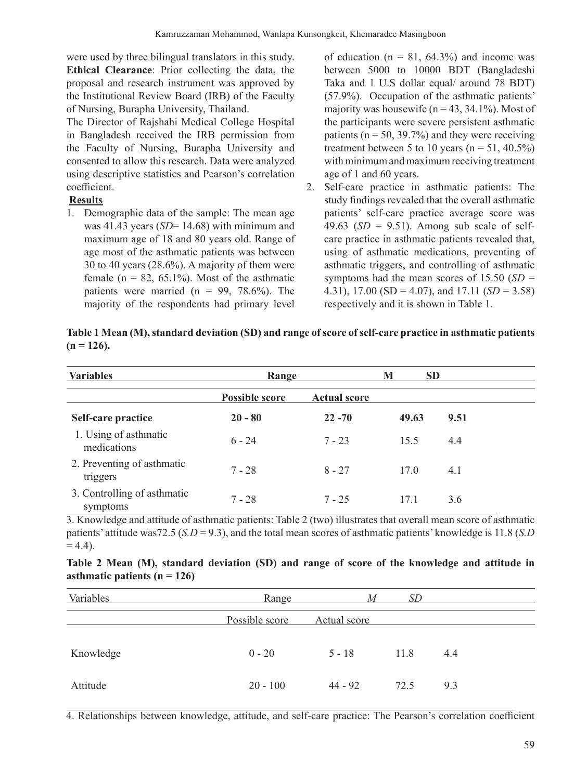were used by three bilingual translators in this study. **Ethical Clearance**: Prior collecting the data, the proposal and research instrument was approved by the Institutional Review Board (IRB) of the Faculty of Nursing, Burapha University, Thailand.

The Director of Rajshahi Medical College Hospital in Bangladesh received the IRB permission from the Faculty of Nursing, Burapha University and consented to allow this research. Data were analyzed using descriptive statistics and Pearson's correlation coefficient.

# **Results**

1. Demographic data of the sample: The mean age was 41.43 years (*SD*= 14.68) with minimum and maximum age of 18 and 80 years old. Range of age most of the asthmatic patients was between 30 to 40 years (28.6%). A majority of them were female ( $n = 82, 65.1\%$ ). Most of the asthmatic patients were married ( $n = 99, 78.6\%$ ). The majority of the respondents had primary level

of education ( $n = 81, 64.3\%$ ) and income was between 5000 to 10000 BDT (Bangladeshi Taka and 1 U.S dollar equal/ around 78 BDT) (57.9%). Occupation of the asthmatic patients' majority was housewife ( $n = 43, 34.1\%$ ). Most of the participants were severe persistent asthmatic patients ( $n = 50$ , 39.7%) and they were receiving treatment between 5 to 10 years  $(n = 51, 40.5\%)$ with minimum and maximum receiving treatment age of 1 and 60 years.

2. Self-care practice in asthmatic patients: The study findings revealed that the overall asthmatic patients' self-care practice average score was 49.63 ( $SD = 9.51$ ). Among sub scale of selfcare practice in asthmatic patients revealed that, using of asthmatic medications, preventing of asthmatic triggers, and controlling of asthmatic symptoms had the mean scores of 15.50 (*SD* = 4.31), 17.00 (SD = 4.07), and 17.11 (*SD* = 3.58) respectively and it is shown in Table 1.

| <b>Variables</b>                        | Range                 |                     | <b>SD</b><br>M |      |  |  |
|-----------------------------------------|-----------------------|---------------------|----------------|------|--|--|
|                                         | <b>Possible score</b> | <b>Actual score</b> |                |      |  |  |
| Self-care practice                      | $20 - 80$             | $22 - 70$           | 49.63          | 9.51 |  |  |
| 1. Using of asthmatic<br>medications    | $6 - 24$              | $7 - 23$            | 15.5           | 4.4  |  |  |
| 2. Preventing of asthmatic<br>triggers  | $7 - 28$              | $8 - 27$            | 17.0           | 4.1  |  |  |
| 3. Controlling of asthmatic<br>symptoms | $7 - 28$              | $7 - 25$            | 17.1           | 3.6  |  |  |

**Table 1 Mean (M), standard deviation (SD) and range of score of self-care practice in asthmatic patients (n = 126).**

3. Knowledge and attitude of asthmatic patients: Table 2 (two) illustrates that overall mean score of asthmatic patients' attitude was72.5 (*S.D* = 9.3), and the total mean scores of asthmatic patients' knowledge is 11.8 (*S.D*  $= 4.4$ ).

| asthmatic patients $(n = 126)$ |                |              |           |     |
|--------------------------------|----------------|--------------|-----------|-----|
| Variables                      | Range          | M            | <i>SD</i> |     |
|                                | Possible score | Actual score |           |     |
| Knowledge                      | $0 - 20$       | $5 - 18$     | 11.8      | 4.4 |

| Table 2 Mean (M), standard deviation (SD) and range of score of the knowledge and attitude in |  |  |  |  |  |  |  |
|-----------------------------------------------------------------------------------------------|--|--|--|--|--|--|--|
| asthmatic patients ( $n = 126$ )                                                              |  |  |  |  |  |  |  |

4. Relationships between knowledge, attitude, and self-care practice: The Pearson's correlation coefficient

Attitude 20 - 100 44 - 92 72.5 9.3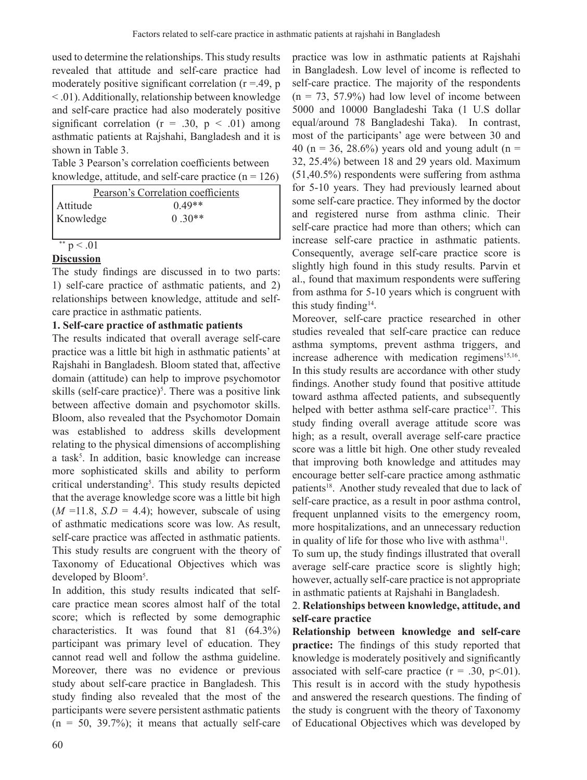used to determine the relationships. This study results revealed that attitude and self-care practice had moderately positive significant correlation ( $r = .49$ ,  $p$ ) < .01). Additionally, relationship between knowledge and self-care practice had also moderately positive significant correlation ( $r = .30$ ,  $p < .01$ ) among asthmatic patients at Rajshahi, Bangladesh and it is shown in Table 3.

Table 3 Pearson's correlation coefficients between knowledge, attitude, and self-care practice  $(n = 126)$ 

| Pearson's Correlation coefficients |          |  |  |  |  |
|------------------------------------|----------|--|--|--|--|
| Attitude                           | $0.49**$ |  |  |  |  |
| Knowledge                          | $0.30**$ |  |  |  |  |
|                                    |          |  |  |  |  |

# $p < .01$

# **Discussion**

The study findings are discussed in to two parts: 1) self-care practice of asthmatic patients, and 2) relationships between knowledge, attitude and selfcare practice in asthmatic patients.

# **1. Self-care practice of asthmatic patients**

The results indicated that overall average self-care practice was a little bit high in asthmatic patients' at Rajshahi in Bangladesh. Bloom stated that, affective domain (attitude) can help to improve psychomotor skills (self-care practice)<sup>5</sup>. There was a positive link between affective domain and psychomotor skills. Bloom, also revealed that the Psychomotor Domain was established to address skills development relating to the physical dimensions of accomplishing a task<sup>5</sup>. In addition, basic knowledge can increase more sophisticated skills and ability to perform critical understanding<sup>5</sup>. This study results depicted that the average knowledge score was a little bit high  $(M = 11.8, S.D = 4.4)$ ; however, subscale of using of asthmatic medications score was low. As result, self-care practice was affected in asthmatic patients. This study results are congruent with the theory of Taxonomy of Educational Objectives which was developed by Bloom<sup>5</sup>.

In addition, this study results indicated that selfcare practice mean scores almost half of the total score; which is reflected by some demographic characteristics. It was found that 81 (64.3%) participant was primary level of education. They cannot read well and follow the asthma guideline. Moreover, there was no evidence or previous study about self-care practice in Bangladesh. This study finding also revealed that the most of the participants were severe persistent asthmatic patients  $(n = 50, 39.7\%)$ ; it means that actually self-care

practice was low in asthmatic patients at Rajshahi in Bangladesh. Low level of income is reflected to self-care practice. The majority of the respondents  $(n = 73, 57.9%)$  had low level of income between 5000 and 10000 Bangladeshi Taka (1 U.S dollar equal/around 78 Bangladeshi Taka). In contrast, most of the participants' age were between 30 and 40 (n = 36, 28.6%) years old and young adult (n = 32, 25.4%) between 18 and 29 years old. Maximum (51,40.5%) respondents were suffering from asthma for 5-10 years. They had previously learned about some self-care practice. They informed by the doctor and registered nurse from asthma clinic. Their self-care practice had more than others; which can increase self-care practice in asthmatic patients. Consequently, average self-care practice score is slightly high found in this study results. Parvin et al., found that maximum respondents were suffering from asthma for 5-10 years which is congruent with this study finding<sup>14</sup>.

Moreover, self-care practice researched in other studies revealed that self-care practice can reduce asthma symptoms, prevent asthma triggers, and increase adherence with medication regimens<sup>15,16</sup>. In this study results are accordance with other study findings. Another study found that positive attitude toward asthma affected patients, and subsequently helped with better asthma self-care practice<sup>17</sup>. This study finding overall average attitude score was high; as a result, overall average self-care practice score was a little bit high. One other study revealed that improving both knowledge and attitudes may encourage better self-care practice among asthmatic patients<sup>18</sup>. Another study revealed that due to lack of self-care practice, as a result in poor asthma control, frequent unplanned visits to the emergency room, more hospitalizations, and an unnecessary reduction in quality of life for those who live with asthma<sup>11</sup>.

To sum up, the study findings illustrated that overall average self-care practice score is slightly high; however, actually self-care practice is not appropriate in asthmatic patients at Rajshahi in Bangladesh.

# 2. **Relationships between knowledge, attitude, and self-care practice**

**Relationship between knowledge and self-care practice:** The findings of this study reported that knowledge is moderately positively and significantly associated with self-care practice  $(r = .30, p<.01)$ . This result is in accord with the study hypothesis and answered the research questions. The finding of the study is congruent with the theory of Taxonomy of Educational Objectives which was developed by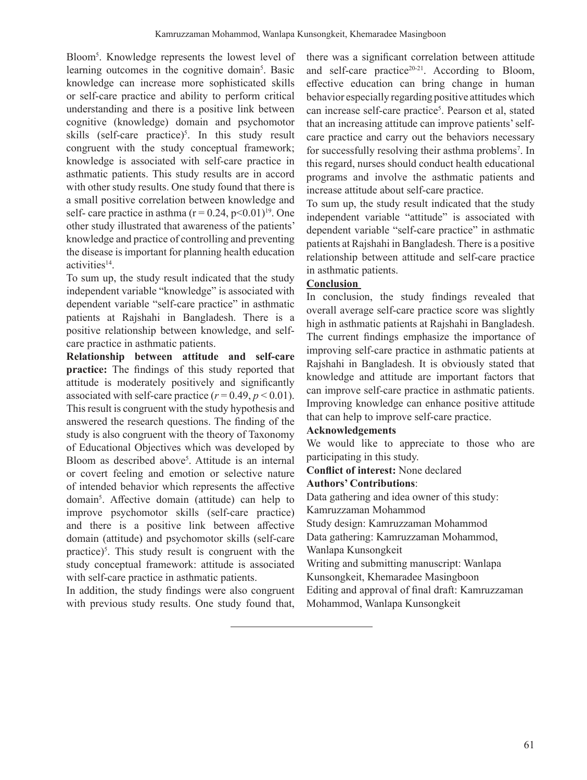Bloom5 . Knowledge represents the lowest level of learning outcomes in the cognitive domain<sup>5</sup>. Basic knowledge can increase more sophisticated skills or self-care practice and ability to perform critical understanding and there is a positive link between cognitive (knowledge) domain and psychomotor skills (self-care practice)<sup>5</sup>. In this study result congruent with the study conceptual framework; knowledge is associated with self-care practice in asthmatic patients. This study results are in accord with other study results. One study found that there is a small positive correlation between knowledge and self- care practice in asthma  $(r = 0.24, p < 0.01)^{19}$ . One other study illustrated that awareness of the patients' knowledge and practice of controlling and preventing the disease is important for planning health education activities<sup>14</sup>.

To sum up, the study result indicated that the study independent variable "knowledge" is associated with dependent variable "self-care practice" in asthmatic patients at Rajshahi in Bangladesh. There is a positive relationship between knowledge, and selfcare practice in asthmatic patients.

**Relationship between attitude and self-care practice:** The findings of this study reported that attitude is moderately positively and significantly associated with self-care practice  $(r = 0.49, p \le 0.01)$ . This result is congruent with the study hypothesis and answered the research questions. The finding of the study is also congruent with the theory of Taxonomy of Educational Objectives which was developed by Bloom as described above<sup>5</sup>. Attitude is an internal or covert feeling and emotion or selective nature of intended behavior which represents the affective domain<sup>5</sup>. Affective domain (attitude) can help to improve psychomotor skills (self-care practice) and there is a positive link between affective domain (attitude) and psychomotor skills (self-care practice)<sup>5</sup>. This study result is congruent with the study conceptual framework: attitude is associated with self-care practice in asthmatic patients.

In addition, the study findings were also congruent with previous study results. One study found that, there was a significant correlation between attitude and self-care practice<sup>20-21</sup>. According to Bloom, effective education can bring change in human behavior especially regarding positive attitudes which can increase self-care practice<sup>5</sup>. Pearson et al, stated that an increasing attitude can improve patients' selfcare practice and carry out the behaviors necessary for successfully resolving their asthma problems<sup>7</sup>. In this regard, nurses should conduct health educational programs and involve the asthmatic patients and increase attitude about self-care practice.

To sum up, the study result indicated that the study independent variable "attitude" is associated with dependent variable "self-care practice" in asthmatic patients at Rajshahi in Bangladesh. There is a positive relationship between attitude and self-care practice in asthmatic patients.

### **Conclusion**

In conclusion, the study findings revealed that overall average self-care practice score was slightly high in asthmatic patients at Rajshahi in Bangladesh. The current findings emphasize the importance of improving self-care practice in asthmatic patients at Rajshahi in Bangladesh. It is obviously stated that knowledge and attitude are important factors that can improve self-care practice in asthmatic patients. Improving knowledge can enhance positive attitude that can help to improve self-care practice.

### **Acknowledgements**

We would like to appreciate to those who are participating in this study.

**Conflict of interest:** None declared

### **Authors' Contributions**:

Data gathering and idea owner of this study:

Kamruzzaman Mohammod

Study design: Kamruzzaman Mohammod

Data gathering: Kamruzzaman Mohammod, Wanlapa Kunsongkeit

Writing and submitting manuscript: Wanlapa Kunsongkeit, Khemaradee Masingboon

Editing and approval of final draft: Kamruzzaman

Mohammod, Wanlapa Kunsongkeit